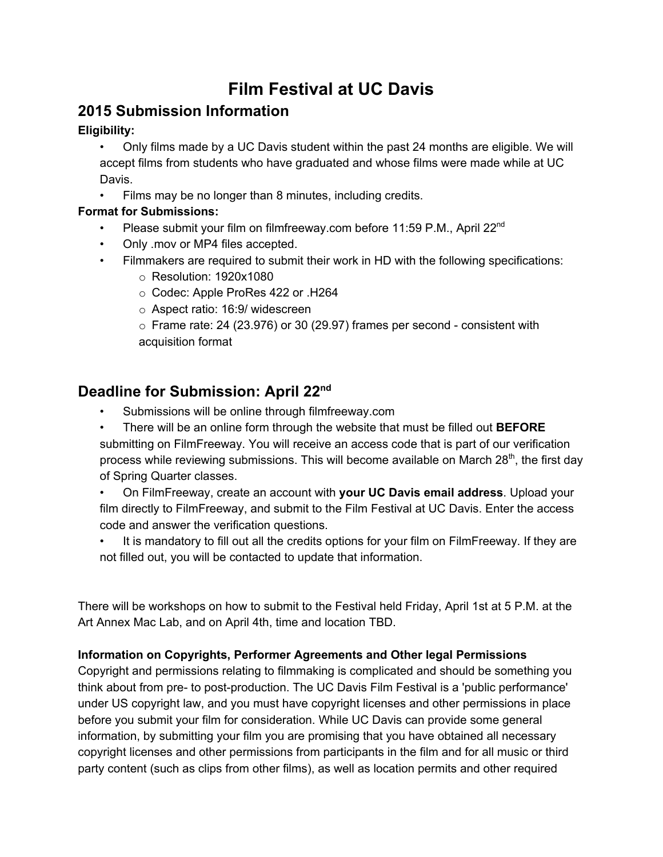## **Film Festival at UC Davis**

## **2015 Submission Information**

#### **Eligibility:**

- Only films made by a UC Davis student within the past 24 months are eligible. We will accept films from students who have graduated and whose films were made while at UC Davis.
- Films may be no longer than 8 minutes, including credits.

### **Format for Submissions:**

- Please submit your film on filmfreeway.com before 11:59 P.M., April 22<sup>nd</sup>
- Only .mov or MP4 files accepted.
- Filmmakers are required to submit their work in HD with the following specifications:
	- $\circ$  Resolution: 1920x1080
	- oCodec: Apple ProRes 422 or .H264
	- $\circ$  Aspect ratio: 16:9/ widescreen

 $\circ$  Frame rate: 24 (23.976) or 30 (29.97) frames per second - consistent with acquisition format

# **Deadline for Submission: April 22 nd**

Submissions will be online through filmfreeway.com

• There will be an online form through the website that must be filled out **BEFORE** submitting on FilmFreeway. You will receive an access code that is part of our verification process while reviewing submissions. This will become available on March 28<sup>th</sup>, the first day of Spring Quarter classes.

• On FilmFreeway, create an account with **your UC Davis email address**.Upload your film directly to FilmFreeway, and submit to the Film Festival at UC Davis. Enter the access code and answer the verification questions.

It is mandatory to fill out all the credits options for your film on FilmFreeway. If they are not filled out, you will be contacted to update that information.

There will be workshops on how to submit to the Festival held Friday, April 1st at 5 P.M. at the Art Annex Mac Lab, and on April 4th, time and location TBD.

#### **Information on Copyrights, Performer Agreements and Other legal Permissions**

Copyright and permissions relating to filmmaking is complicated and should be something you think about from pre- to post-production. The UC Davis Film Festival is a 'public performance' under US copyright law, and you must have copyright licenses and other permissions in place before you submit your film for consideration. While UC Davis can provide some general information, by submitting your film you are promising that you have obtained all necessary copyright licenses and other permissions from participants in the film and for all music or third party content (such as clips from other films), as well as location permits and other required